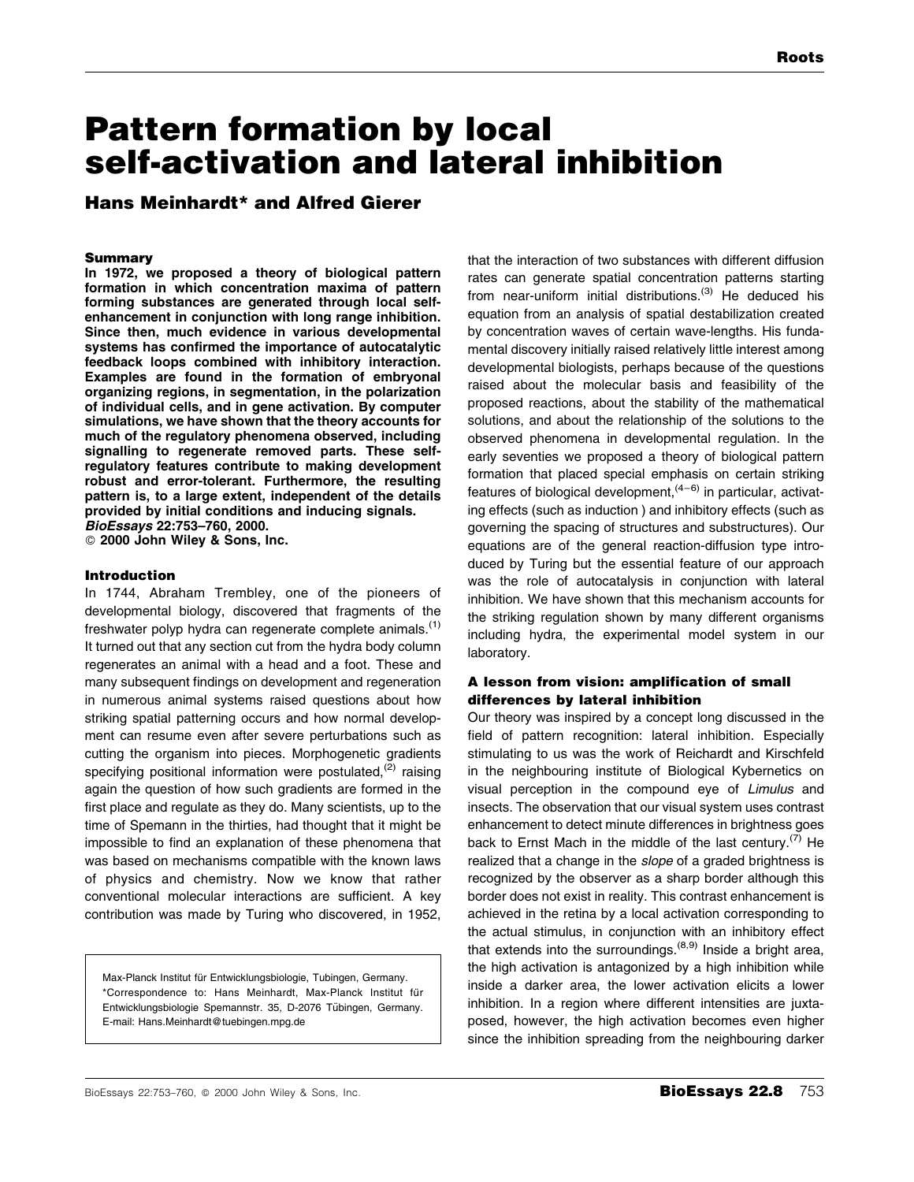# Pattern formation by local self-activation and lateral inhibition

Hans Meinhardt\* and Alfred Gierer

#### Summary

In 1972, we proposed a theory of biological pattern formation in which concentration maxima of pattern forming substances are generated through local selfenhancement in conjunction with long range inhibition. Since then, much evidence in various developmental systems has confirmed the importance of autocatalytic feedback loops combined with inhibitory interaction. Examples are found in the formation of embryonal organizing regions, in segmentation, in the polarization of individual cells, and in gene activation. By computer simulations, we have shown that the theory accounts for much of the regulatory phenomena observed, including signalling to regenerate removed parts. These selfregulatory features contribute to making development robust and error-tolerant. Furthermore, the resulting pattern is, to a large extent, independent of the details provided by initial conditions and inducing signals. BioEssays 22:753-760, 2000.

ß 2000 John Wiley & Sons, Inc.

#### Introduction

In 1744, Abraham Trembley, one of the pioneers of developmental biology, discovered that fragments of the freshwater polyp hydra can regenerate complete animals.<sup>(1)</sup> It turned out that any section cut from the hydra body column regenerates an animal with a head and a foot. These and many subsequent findings on development and regeneration in numerous animal systems raised questions about how striking spatial patterning occurs and how normal development can resume even after severe perturbations such as cutting the organism into pieces. Morphogenetic gradients specifying positional information were postulated, $(2)$  raising again the question of how such gradients are formed in the first place and regulate as they do. Many scientists, up to the time of Spemann in the thirties, had thought that it might be impossible to find an explanation of these phenomena that was based on mechanisms compatible with the known laws of physics and chemistry. Now we know that rather conventional molecular interactions are sufficient. A key contribution was made by Turing who discovered, in 1952,

Max-Planck Institut für Entwicklungsbiologie, Tubingen, Germany. \*Correspondence to: Hans Meinhardt, Max-Planck Institut für Entwicklungsbiologie Spemannstr. 35, D-2076 Tübingen, Germany. E-mail: Hans.Meinhardt@tuebingen.mpg.de

that the interaction of two substances with different diffusion rates can generate spatial concentration patterns starting from near-uniform initial distributions. $(3)$  He deduced his equation from an analysis of spatial destabilization created by concentration waves of certain wave-lengths. His fundamental discovery initially raised relatively little interest among developmental biologists, perhaps because of the questions raised about the molecular basis and feasibility of the proposed reactions, about the stability of the mathematical solutions, and about the relationship of the solutions to the observed phenomena in developmental regulation. In the early seventies we proposed a theory of biological pattern formation that placed special emphasis on certain striking features of biological development,  $(4-6)$  in particular, activating effects (such as induction ) and inhibitory effects (such as governing the spacing of structures and substructures). Our equations are of the general reaction-diffusion type introduced by Turing but the essential feature of our approach was the role of autocatalysis in conjunction with lateral inhibition. We have shown that this mechanism accounts for the striking regulation shown by many different organisms including hydra, the experimental model system in our laboratory.

### A lesson from vision: amplification of small differences by lateral inhibition

Our theory was inspired by a concept long discussed in the field of pattern recognition: lateral inhibition. Especially stimulating to us was the work of Reichardt and Kirschfeld in the neighbouring institute of Biological Kybernetics on visual perception in the compound eye of Limulus and insects. The observation that our visual system uses contrast enhancement to detect minute differences in brightness goes back to Ernst Mach in the middle of the last century.<sup> $(7)$ </sup> He realized that a change in the slope of a graded brightness is recognized by the observer as a sharp border although this border does not exist in reality. This contrast enhancement is achieved in the retina by a local activation corresponding to the actual stimulus, in conjunction with an inhibitory effect that extends into the surroundings.  $(8,9)$  Inside a bright area, the high activation is antagonized by a high inhibition while inside a darker area, the lower activation elicits a lower inhibition. In a region where different intensities are juxtaposed, however, the high activation becomes even higher since the inhibition spreading from the neighbouring darker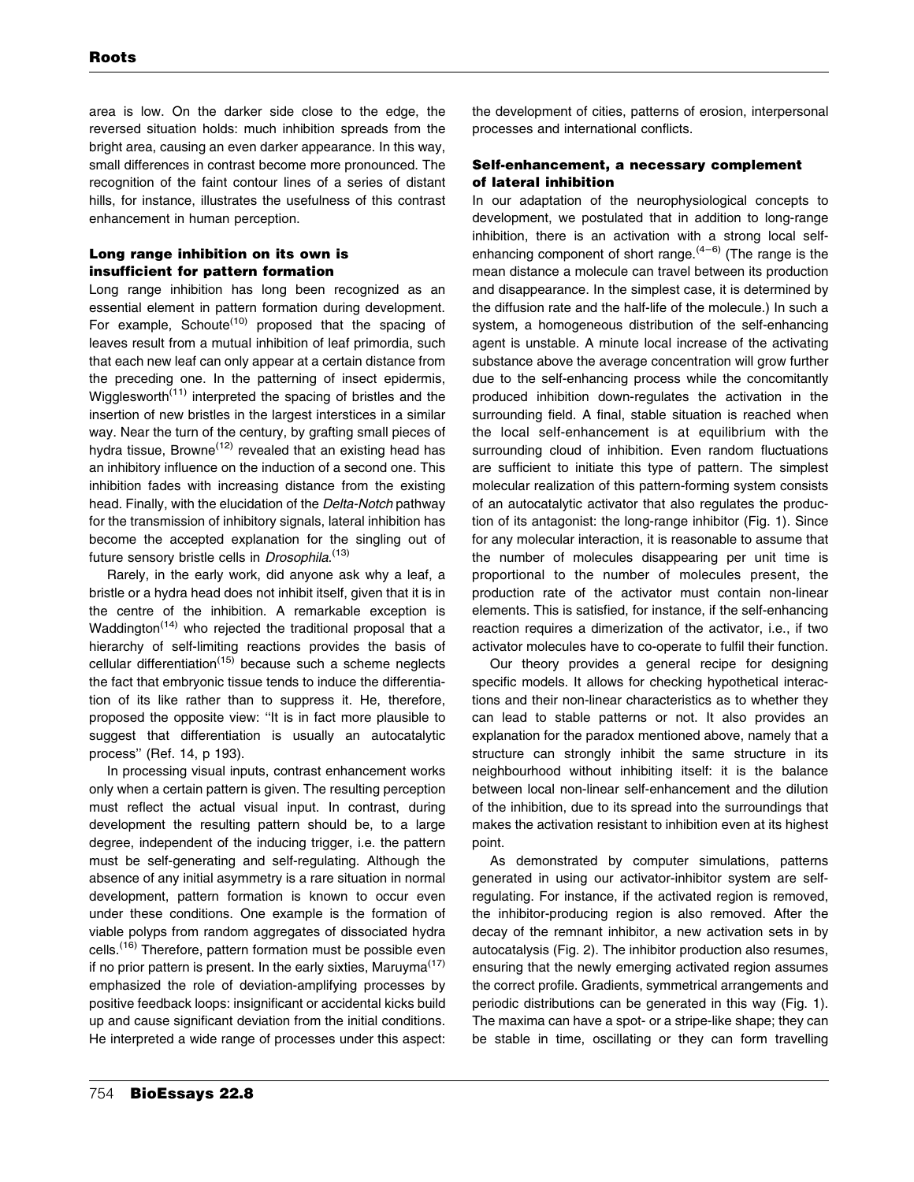area is low. On the darker side close to the edge, the reversed situation holds: much inhibition spreads from the bright area, causing an even darker appearance. In this way, small differences in contrast become more pronounced. The recognition of the faint contour lines of a series of distant hills, for instance, illustrates the usefulness of this contrast enhancement in human perception.

### Long range inhibition on its own is insufficient for pattern formation

Long range inhibition has long been recognized as an essential element in pattern formation during development. For example, Schoute<sup> $(10)$ </sup> proposed that the spacing of leaves result from a mutual inhibition of leaf primordia, such that each new leaf can only appear at a certain distance from the preceding one. In the patterning of insect epidermis, Wigglesworth<sup> $(11)$ </sup> interpreted the spacing of bristles and the insertion of new bristles in the largest interstices in a similar way. Near the turn of the century, by grafting small pieces of hydra tissue, Browne<sup>(12)</sup> revealed that an existing head has an inhibitory influence on the induction of a second one. This inhibition fades with increasing distance from the existing head. Finally, with the elucidation of the Delta-Notch pathway for the transmission of inhibitory signals, lateral inhibition has become the accepted explanation for the singling out of future sensory bristle cells in *Drosophila*.<sup>(13)</sup>

Rarely, in the early work, did anyone ask why a leaf, a bristle or a hydra head does not inhibit itself, given that it is in the centre of the inhibition. A remarkable exception is Waddington<sup> $(14)$ </sup> who rejected the traditional proposal that a hierarchy of self-limiting reactions provides the basis of cellular differentiation<sup> $(15)$ </sup> because such a scheme neglects the fact that embryonic tissue tends to induce the differentiation of its like rather than to suppress it. He, therefore, proposed the opposite view: "It is in fact more plausible to suggest that differentiation is usually an autocatalytic process'' (Ref. 14, p 193).

In processing visual inputs, contrast enhancement works only when a certain pattern is given. The resulting perception must reflect the actual visual input. In contrast, during development the resulting pattern should be, to a large degree, independent of the inducing trigger, i.e. the pattern must be self-generating and self-regulating. Although the absence of any initial asymmetry is a rare situation in normal development, pattern formation is known to occur even under these conditions. One example is the formation of viable polyps from random aggregates of dissociated hydra cells.<sup>(16)</sup> Therefore, pattern formation must be possible even if no prior pattern is present. In the early sixties, Maruyma<sup>(17)</sup> emphasized the role of deviation-amplifying processes by positive feedback loops: insignificant or accidental kicks build up and cause significant deviation from the initial conditions. He interpreted a wide range of processes under this aspect: the development of cities, patterns of erosion, interpersonal processes and international conflicts.

### Self-enhancement, a necessary complement of lateral inhibition

In our adaptation of the neurophysiological concepts to development, we postulated that in addition to long-range inhibition, there is an activation with a strong local selfenhancing component of short range. $(4-6)$  (The range is the mean distance a molecule can travel between its production and disappearance. In the simplest case, it is determined by the diffusion rate and the half-life of the molecule.) In such a system, a homogeneous distribution of the self-enhancing agent is unstable. A minute local increase of the activating substance above the average concentration will grow further due to the self-enhancing process while the concomitantly produced inhibition down-regulates the activation in the surrounding field. A final, stable situation is reached when the local self-enhancement is at equilibrium with the surrounding cloud of inhibition. Even random fluctuations are sufficient to initiate this type of pattern. The simplest molecular realization of this pattern-forming system consists of an autocatalytic activator that also regulates the production of its antagonist: the long-range inhibitor (Fig. 1). Since for any molecular interaction, it is reasonable to assume that the number of molecules disappearing per unit time is proportional to the number of molecules present, the production rate of the activator must contain non-linear elements. This is satisfied, for instance, if the self-enhancing reaction requires a dimerization of the activator, i.e., if two activator molecules have to co-operate to fulfil their function.

Our theory provides a general recipe for designing specific models. It allows for checking hypothetical interactions and their non-linear characteristics as to whether they can lead to stable patterns or not. It also provides an explanation for the paradox mentioned above, namely that a structure can strongly inhibit the same structure in its neighbourhood without inhibiting itself: it is the balance between local non-linear self-enhancement and the dilution of the inhibition, due to its spread into the surroundings that makes the activation resistant to inhibition even at its highest point.

As demonstrated by computer simulations, patterns generated in using our activator-inhibitor system are selfregulating. For instance, if the activated region is removed, the inhibitor-producing region is also removed. After the decay of the remnant inhibitor, a new activation sets in by autocatalysis (Fig. 2). The inhibitor production also resumes, ensuring that the newly emerging activated region assumes the correct profile. Gradients, symmetrical arrangements and periodic distributions can be generated in this way (Fig. 1). The maxima can have a spot- or a stripe-like shape; they can be stable in time, oscillating or they can form travelling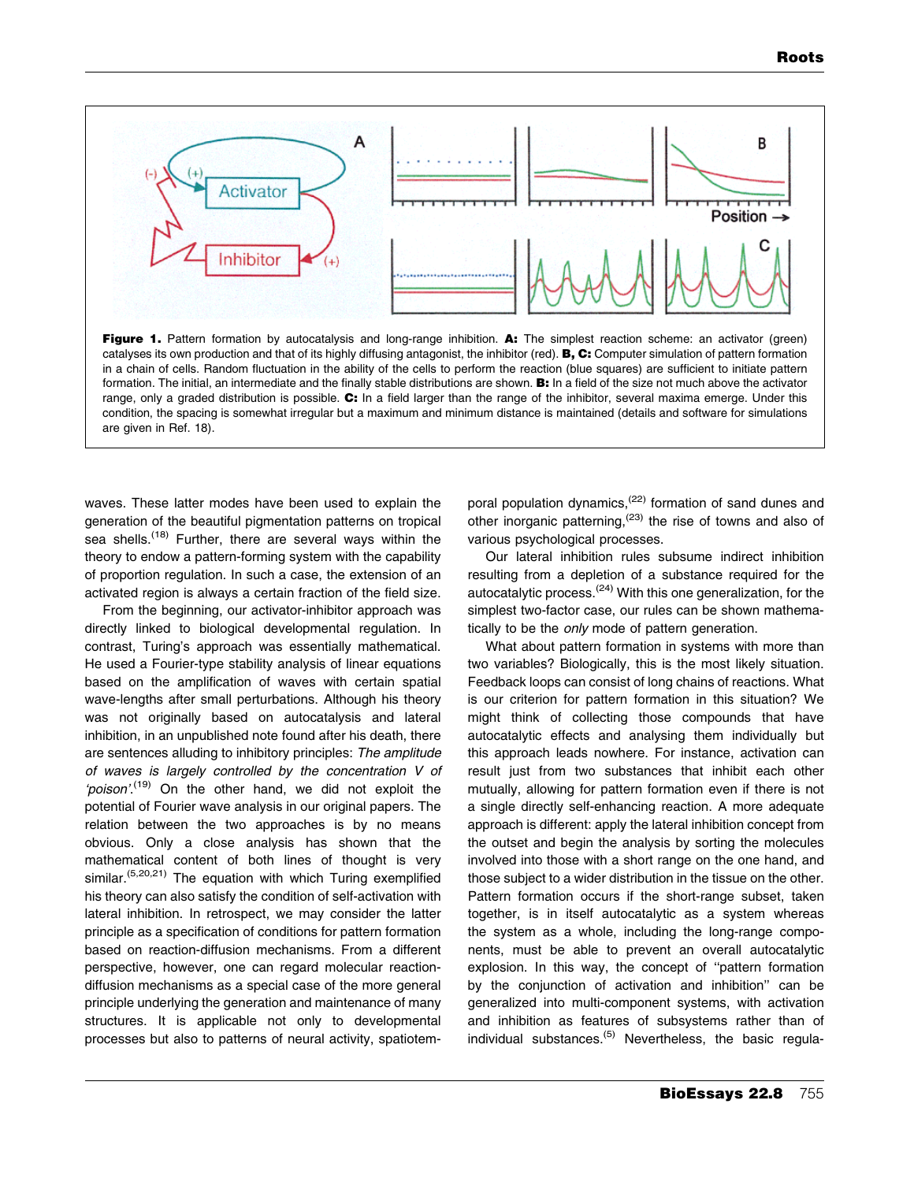

waves. These latter modes have been used to explain the generation of the beautiful pigmentation patterns on tropical sea shells.<sup>(18)</sup> Further, there are several ways within the theory to endow a pattern-forming system with the capability of proportion regulation. In such a case, the extension of an

activated region is always a certain fraction of the field size. From the beginning, our activator-inhibitor approach was directly linked to biological developmental regulation. In contrast, Turing's approach was essentially mathematical. He used a Fourier-type stability analysis of linear equations based on the amplification of waves with certain spatial wave-lengths after small perturbations. Although his theory was not originally based on autocatalysis and lateral inhibition, in an unpublished note found after his death, there are sentences alluding to inhibitory principles: The amplitude of waves is largely controlled by the concentration V of 'poison'.<sup>(19)</sup> On the other hand, we did not exploit the potential of Fourier wave analysis in our original papers. The relation between the two approaches is by no means obvious. Only a close analysis has shown that the mathematical content of both lines of thought is very similar.<sup>(5,20,21)</sup> The equation with which Turing exemplified his theory can also satisfy the condition of self-activation with lateral inhibition. In retrospect, we may consider the latter principle as a specification of conditions for pattern formation based on reaction-diffusion mechanisms. From a different perspective, however, one can regard molecular reactiondiffusion mechanisms as a special case of the more general principle underlying the generation and maintenance of many structures. It is applicable not only to developmental processes but also to patterns of neural activity, spatiotemporal population dynamics,<sup>(22)</sup> formation of sand dunes and other inorganic patterning, $(23)$  the rise of towns and also of various psychological processes.

Our lateral inhibition rules subsume indirect inhibition resulting from a depletion of a substance required for the autocatalytic process.<sup>(24)</sup> With this one generalization, for the simplest two-factor case, our rules can be shown mathematically to be the *only* mode of pattern generation.

What about pattern formation in systems with more than two variables? Biologically, this is the most likely situation. Feedback loops can consist of long chains of reactions. What is our criterion for pattern formation in this situation? We might think of collecting those compounds that have autocatalytic effects and analysing them individually but this approach leads nowhere. For instance, activation can result just from two substances that inhibit each other mutually, allowing for pattern formation even if there is not a single directly self-enhancing reaction. A more adequate approach is different: apply the lateral inhibition concept from the outset and begin the analysis by sorting the molecules involved into those with a short range on the one hand, and those subject to a wider distribution in the tissue on the other. Pattern formation occurs if the short-range subset, taken together, is in itself autocatalytic as a system whereas the system as a whole, including the long-range components, must be able to prevent an overall autocatalytic explosion. In this way, the concept of "pattern formation by the conjunction of activation and inhibition'' can be generalized into multi-component systems, with activation and inhibition as features of subsystems rather than of individual substances. $(5)$  Nevertheless, the basic regula-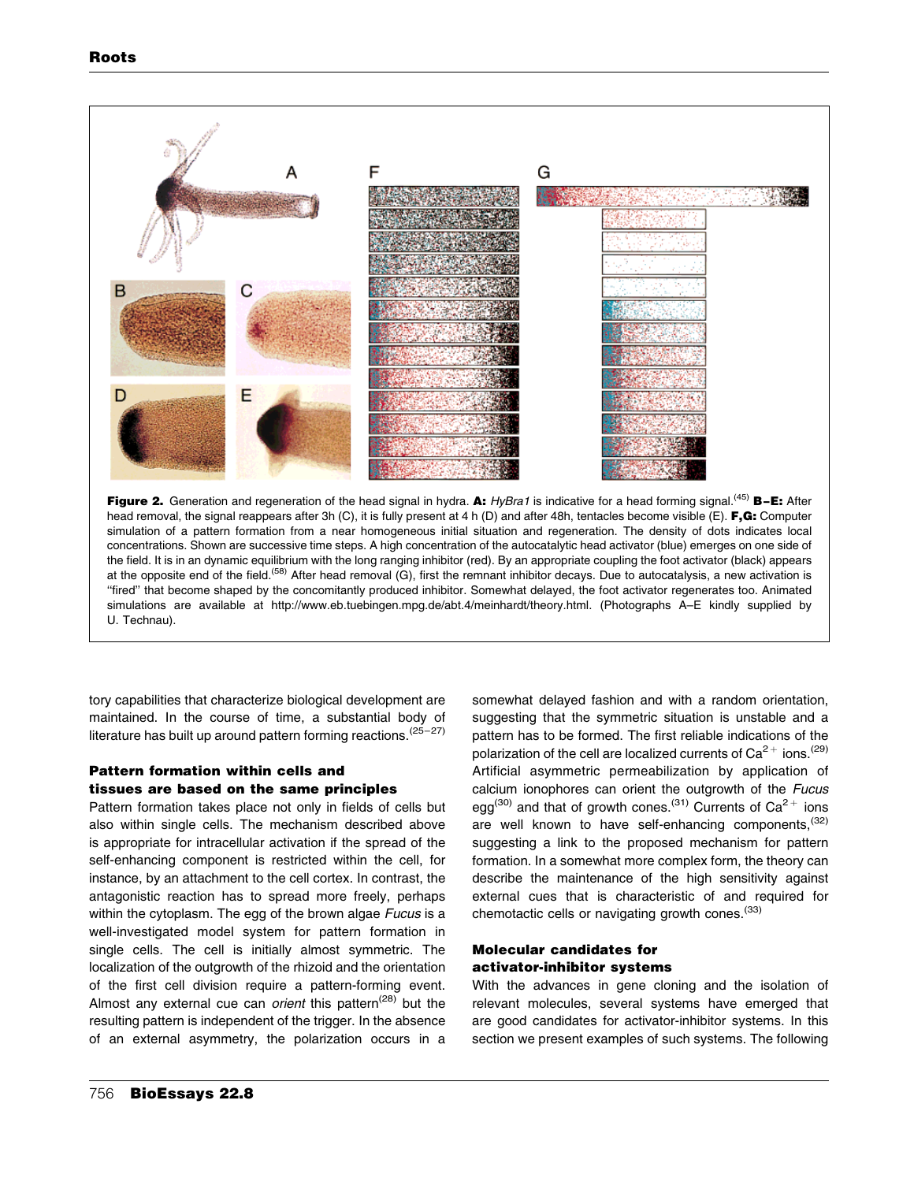

head removal, the signal reappears after 3h (C), it is fully present at 4 h (D) and after 48h, tentacles become visible (E). F,G: Computer simulation of a pattern formation from a near homogeneous initial situation and regeneration. The density of dots indicates local concentrations. Shown are successive time steps. A high concentration of the autocatalytic head activator (blue) emerges on one side of the field. It is in an dynamic equilibrium with the long ranging inhibitor (red). By an appropriate coupling the foot activator (black) appears at the opposite end of the field.<sup>(58)</sup> After head removal (G), first the remnant inhibitor decays. Due to autocatalysis, a new activation is ``fired'' that become shaped by the concomitantly produced inhibitor. Somewhat delayed, the foot activator regenerates too. Animated simulations are available at http://www.eb.tuebingen.mpg.de/abt.4/meinhardt/theory.html. (Photographs A-E kindly supplied by U. Technau).

tory capabilities that characterize biological development are maintained. In the course of time, a substantial body of literature has built up around pattern forming reactions.  $(25-27)$ 

## Pattern formation within cells and tissues are based on the same principles

Pattern formation takes place not only in fields of cells but also within single cells. The mechanism described above is appropriate for intracellular activation if the spread of the self-enhancing component is restricted within the cell, for instance, by an attachment to the cell cortex. In contrast, the antagonistic reaction has to spread more freely, perhaps within the cytoplasm. The egg of the brown algae Fucus is a well-investigated model system for pattern formation in single cells. The cell is initially almost symmetric. The localization of the outgrowth of the rhizoid and the orientation of the first cell division require a pattern-forming event. Almost any external cue can *orient* this pattern<sup>(28)</sup> but the resulting pattern is independent of the trigger. In the absence of an external asymmetry, the polarization occurs in a somewhat delayed fashion and with a random orientation, suggesting that the symmetric situation is unstable and a pattern has to be formed. The first reliable indications of the polarization of the cell are localized currents of  $Ca^{2+}$  ions.<sup>(29)</sup> Artificial asymmetric permeabilization by application of calcium ionophores can orient the outgrowth of the Fucus egg<sup>(30)</sup> and that of growth cones.<sup>(31)</sup> Currents of  $Ca^{2+}$  ions are well known to have self-enhancing components.<sup>(32)</sup> suggesting a link to the proposed mechanism for pattern formation. In a somewhat more complex form, the theory can describe the maintenance of the high sensitivity against external cues that is characteristic of and required for chemotactic cells or navigating growth cones.<sup>(33)</sup>

## Molecular candidates for activator-inhibitor systems

With the advances in gene cloning and the isolation of relevant molecules, several systems have emerged that are good candidates for activator-inhibitor systems. In this section we present examples of such systems. The following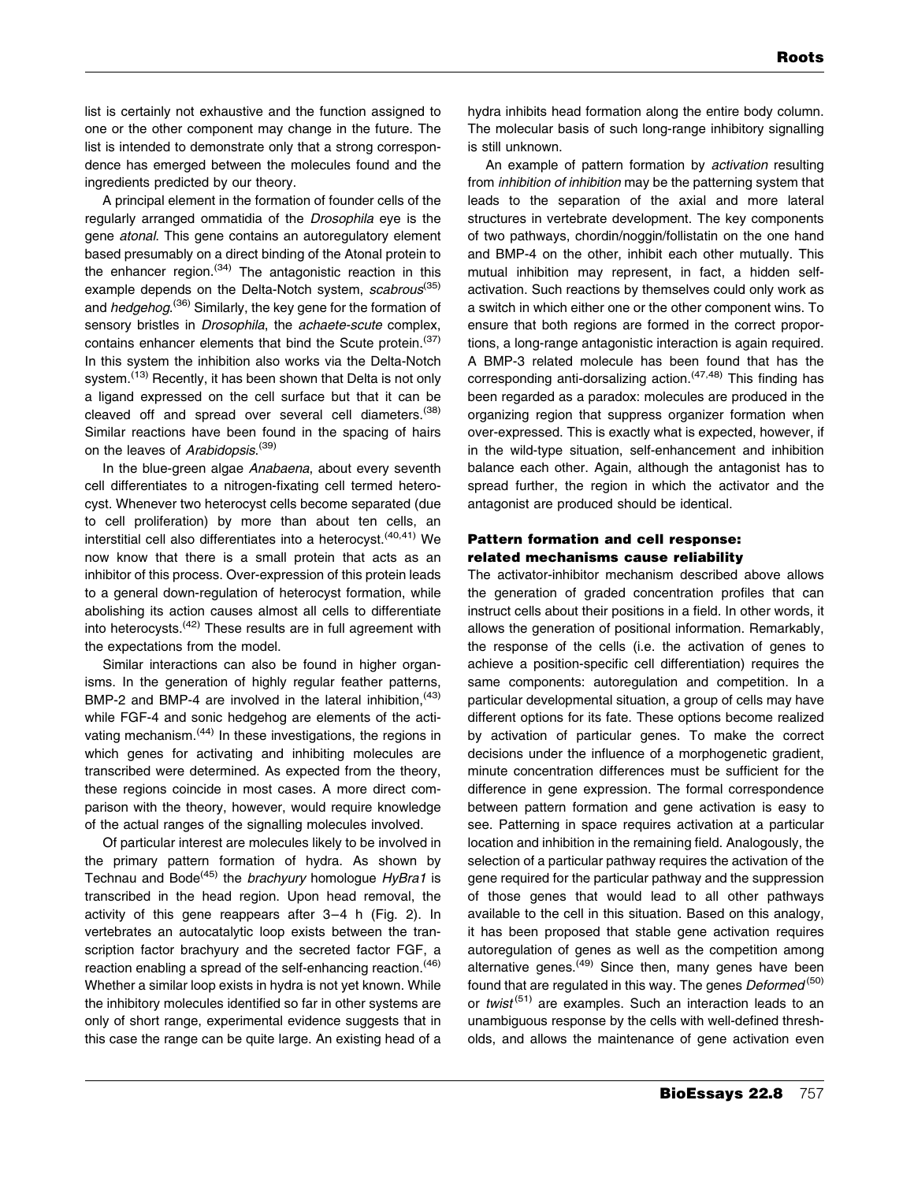list is certainly not exhaustive and the function assigned to one or the other component may change in the future. The list is intended to demonstrate only that a strong correspondence has emerged between the molecules found and the ingredients predicted by our theory.

A principal element in the formation of founder cells of the regularly arranged ommatidia of the Drosophila eye is the gene atonal. This gene contains an autoregulatory element based presumably on a direct binding of the Atonal protein to the enhancer region.  $(34)$  The antagonistic reaction in this example depends on the Delta-Notch system, scabrous<sup>(35)</sup> and *hedgehog*.<sup>(36)</sup> Similarly, the key gene for the formation of sensory bristles in *Drosophila*, the *achaete-scute* complex, contains enhancer elements that bind the Scute protein.<sup>(37)</sup> In this system the inhibition also works via the Delta-Notch system.<sup>(13)</sup> Recently, it has been shown that Delta is not only a ligand expressed on the cell surface but that it can be cleaved off and spread over several cell diameters.<sup>(38)</sup> Similar reactions have been found in the spacing of hairs on the leaves of Arabidopsis.<sup>(39)</sup>

In the blue-green algae Anabaena, about every seventh cell differentiates to a nitrogen-fixating cell termed heterocyst. Whenever two heterocyst cells become separated (due to cell proliferation) by more than about ten cells, an interstitial cell also differentiates into a heterocyst.<sup>(40,41)</sup> We now know that there is a small protein that acts as an inhibitor of this process. Over-expression of this protein leads to a general down-regulation of heterocyst formation, while abolishing its action causes almost all cells to differentiate into heterocysts.<sup>(42)</sup> These results are in full agreement with the expectations from the model.

Similar interactions can also be found in higher organisms. In the generation of highly regular feather patterns, BMP-2 and BMP-4 are involved in the lateral inhibition, <sup>(43)</sup> while FGF-4 and sonic hedgehog are elements of the activating mechanism.<sup>(44)</sup> In these investigations, the regions in which genes for activating and inhibiting molecules are transcribed were determined. As expected from the theory, these regions coincide in most cases. A more direct comparison with the theory, however, would require knowledge of the actual ranges of the signalling molecules involved.

Of particular interest are molecules likely to be involved in the primary pattern formation of hydra. As shown by Technau and Bode<sup>(45)</sup> the *brachyury* homologue HyBra1 is transcribed in the head region. Upon head removal, the activity of this gene reappears after  $3-4$  h (Fig. 2). In vertebrates an autocatalytic loop exists between the transcription factor brachyury and the secreted factor FGF, a reaction enabling a spread of the self-enhancing reaction.<sup>(46)</sup> Whether a similar loop exists in hydra is not yet known. While the inhibitory molecules identified so far in other systems are only of short range, experimental evidence suggests that in this case the range can be quite large. An existing head of a

hydra inhibits head formation along the entire body column. The molecular basis of such long-range inhibitory signalling is still unknown.

An example of pattern formation by *activation* resulting from inhibition of inhibition may be the patterning system that leads to the separation of the axial and more lateral structures in vertebrate development. The key components of two pathways, chordin/noggin/follistatin on the one hand and BMP-4 on the other, inhibit each other mutually. This mutual inhibition may represent, in fact, a hidden selfactivation. Such reactions by themselves could only work as a switch in which either one or the other component wins. To ensure that both regions are formed in the correct proportions, a long-range antagonistic interaction is again required. A BMP-3 related molecule has been found that has the corresponding anti-dorsalizing action. $(47,48)$  This finding has been regarded as a paradox: molecules are produced in the organizing region that suppress organizer formation when over-expressed. This is exactly what is expected, however, if in the wild-type situation, self-enhancement and inhibition balance each other. Again, although the antagonist has to spread further, the region in which the activator and the antagonist are produced should be identical.

## Pattern formation and cell response: related mechanisms cause reliability

The activator-inhibitor mechanism described above allows the generation of graded concentration profiles that can instruct cells about their positions in a field. In other words, it allows the generation of positional information. Remarkably, the response of the cells (i.e. the activation of genes to achieve a position-specific cell differentiation) requires the same components: autoregulation and competition. In a particular developmental situation, a group of cells may have different options for its fate. These options become realized by activation of particular genes. To make the correct decisions under the influence of a morphogenetic gradient, minute concentration differences must be sufficient for the difference in gene expression. The formal correspondence between pattern formation and gene activation is easy to see. Patterning in space requires activation at a particular location and inhibition in the remaining field. Analogously, the selection of a particular pathway requires the activation of the gene required for the particular pathway and the suppression of those genes that would lead to all other pathways available to the cell in this situation. Based on this analogy, it has been proposed that stable gene activation requires autoregulation of genes as well as the competition among alternative genes. $(49)$  Since then, many genes have been found that are regulated in this way. The genes  $Deformed^{(50)}$ or  $twist^{(51)}$  are examples. Such an interaction leads to an unambiguous response by the cells with well-defined thresholds, and allows the maintenance of gene activation even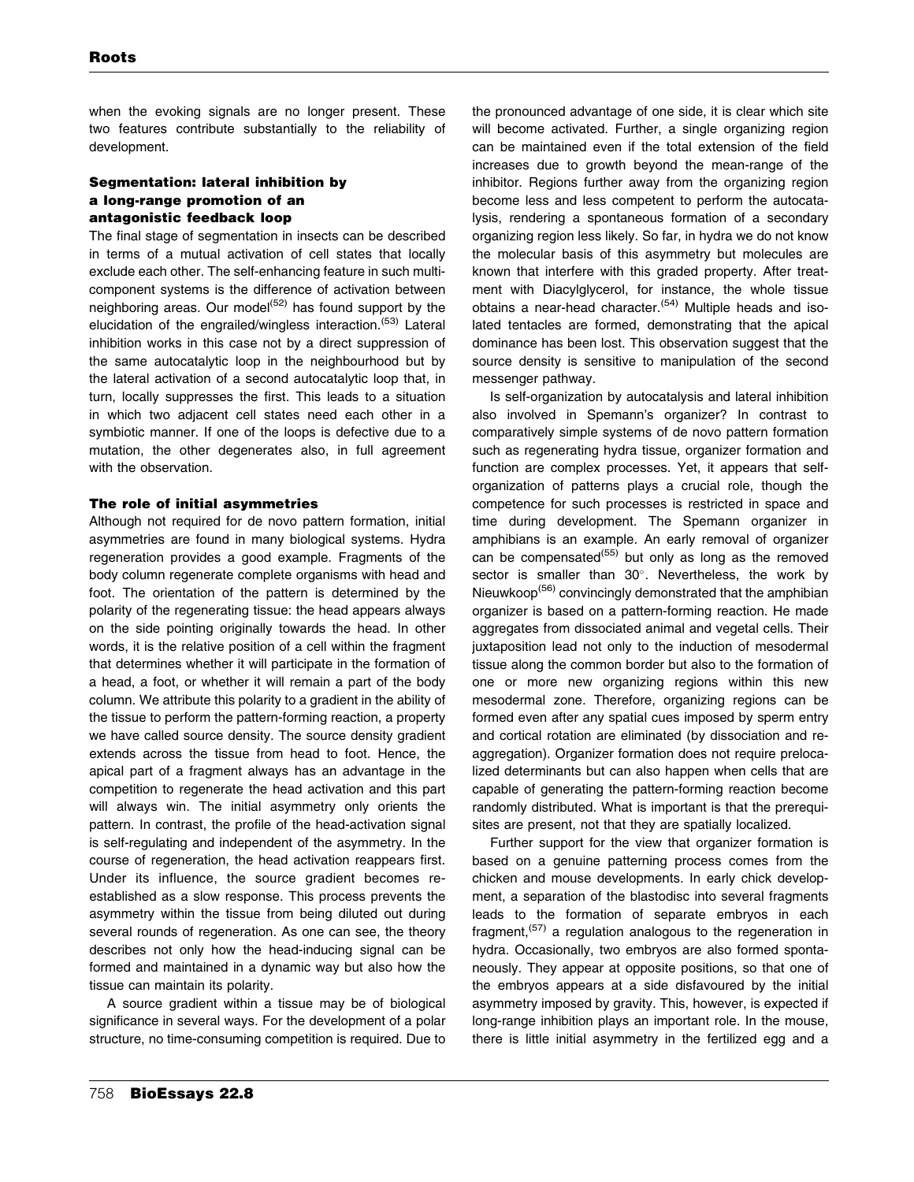when the evoking signals are no longer present. These two features contribute substantially to the reliability of development.

## Segmentation: lateral inhibition by a long-range promotion of an antagonistic feedback loop

The final stage of segmentation in insects can be described in terms of a mutual activation of cell states that locally exclude each other. The self-enhancing feature in such multicomponent systems is the difference of activation between neighboring areas. Our model $(52)$  has found support by the elucidation of the engrailed/wingless interaction.<sup>(53)</sup> Lateral inhibition works in this case not by a direct suppression of the same autocatalytic loop in the neighbourhood but by the lateral activation of a second autocatalytic loop that, in turn, locally suppresses the first. This leads to a situation in which two adjacent cell states need each other in a symbiotic manner. If one of the loops is defective due to a mutation, the other degenerates also, in full agreement with the observation.

#### The role of initial asymmetries

Although not required for de novo pattern formation, initial asymmetries are found in many biological systems. Hydra regeneration provides a good example. Fragments of the body column regenerate complete organisms with head and foot. The orientation of the pattern is determined by the polarity of the regenerating tissue: the head appears always on the side pointing originally towards the head. In other words, it is the relative position of a cell within the fragment that determines whether it will participate in the formation of a head, a foot, or whether it will remain a part of the body column. We attribute this polarity to a gradient in the ability of the tissue to perform the pattern-forming reaction, a property we have called source density. The source density gradient extends across the tissue from head to foot. Hence, the apical part of a fragment always has an advantage in the competition to regenerate the head activation and this part will always win. The initial asymmetry only orients the pattern. In contrast, the profile of the head-activation signal is self-regulating and independent of the asymmetry. In the course of regeneration, the head activation reappears first. Under its influence, the source gradient becomes reestablished as a slow response. This process prevents the asymmetry within the tissue from being diluted out during several rounds of regeneration. As one can see, the theory describes not only how the head-inducing signal can be formed and maintained in a dynamic way but also how the tissue can maintain its polarity.

A source gradient within a tissue may be of biological significance in several ways. For the development of a polar structure, no time-consuming competition is required. Due to the pronounced advantage of one side, it is clear which site will become activated. Further, a single organizing region can be maintained even if the total extension of the field increases due to growth beyond the mean-range of the inhibitor. Regions further away from the organizing region become less and less competent to perform the autocatalysis, rendering a spontaneous formation of a secondary organizing region less likely. So far, in hydra we do not know the molecular basis of this asymmetry but molecules are known that interfere with this graded property. After treatment with Diacylglycerol, for instance, the whole tissue obtains a near-head character. $(54)$  Multiple heads and isolated tentacles are formed, demonstrating that the apical dominance has been lost. This observation suggest that the source density is sensitive to manipulation of the second messenger pathway.

Is self-organization by autocatalysis and lateral inhibition also involved in Spemann's organizer? In contrast to comparatively simple systems of de novo pattern formation such as regenerating hydra tissue, organizer formation and function are complex processes. Yet, it appears that selforganization of patterns plays a crucial role, though the competence for such processes is restricted in space and time during development. The Spemann organizer in amphibians is an example. An early removal of organizer can be compensated<sup>(55)</sup> but only as long as the removed sector is smaller than 30°. Nevertheless, the work by Nieuwkoop<sup>(56)</sup> convincingly demonstrated that the amphibian organizer is based on a pattern-forming reaction. He made aggregates from dissociated animal and vegetal cells. Their juxtaposition lead not only to the induction of mesodermal tissue along the common border but also to the formation of one or more new organizing regions within this new mesodermal zone. Therefore, organizing regions can be formed even after any spatial cues imposed by sperm entry and cortical rotation are eliminated (by dissociation and reaggregation). Organizer formation does not require prelocalized determinants but can also happen when cells that are capable of generating the pattern-forming reaction become randomly distributed. What is important is that the prerequisites are present, not that they are spatially localized.

Further support for the view that organizer formation is based on a genuine patterning process comes from the chicken and mouse developments. In early chick development, a separation of the blastodisc into several fragments leads to the formation of separate embryos in each fragment,  $(57)$  a regulation analogous to the regeneration in hydra. Occasionally, two embryos are also formed spontaneously. They appear at opposite positions, so that one of the embryos appears at a side disfavoured by the initial asymmetry imposed by gravity. This, however, is expected if long-range inhibition plays an important role. In the mouse, there is little initial asymmetry in the fertilized egg and a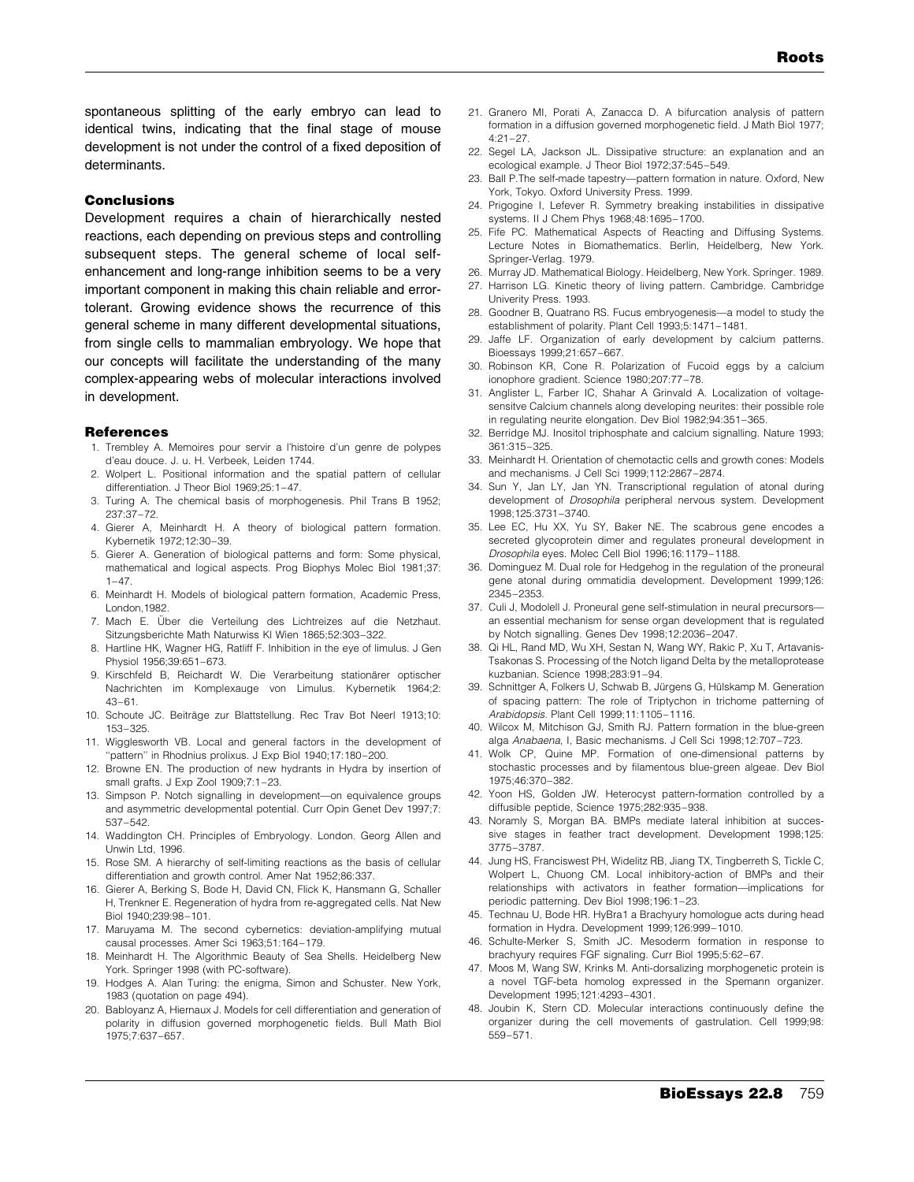spontaneous splitting of the early embryo can lead to identical twins, indicating that the final stage of mouse development is not under the control of a fixed deposition of determinants.

#### Conclusions

Development requires a chain of hierarchically nested reactions, each depending on previous steps and controlling subsequent steps. The general scheme of local selfenhancement and long-range inhibition seems to be a very important component in making this chain reliable and errortolerant. Growing evidence shows the recurrence of this general scheme in many different developmental situations, from single cells to mammalian embryology. We hope that our concepts will facilitate the understanding of the many complex-appearing webs of molecular interactions involved in development.

#### **References**

- 1. Trembley A. Memoires pour servir a l'histoire d'un genre de polypes d'eau douce. J. u. H. Verbeek, Leiden 1744.
- 2. Wolpert L. Positional information and the spatial pattern of cellular differentiation. J Theor Biol 1969;25:1-47.
- 3. Turing A. The chemical basis of morphogenesis. Phil Trans B 1952; 237:37±72.
- 4. Gierer A, Meinhardt H. A theory of biological pattern formation. Kybernetik 1972;12:30-39.
- 5. Gierer A. Generation of biological patterns and form: Some physical, mathematical and logical aspects. Prog Biophys Molec Biol 1981;37:  $1 - 47$
- 6. Meinhardt H. Models of biological pattern formation, Academic Press, London,1982.
- 7. Mach E. Über die Verteilung des Lichtreizes auf die Netzhaut. Sitzungsberichte Math Naturwiss KI Wien 1865;52:303-322.
- 8. Hartline HK, Wagner HG, Ratliff F. Inhibition in the eye of limulus. J Gen Physiol 1956;39:651-673.
- 9. Kirschfeld B, Reichardt W. Die Verarbeitung stationärer optischer Nachrichten im Komplexauge von Limulus. Kybernetik 1964;2:  $43 - 61$ .
- 10. Schoute JC. Beiträge zur Blattstellung. Rec Trav Bot Neerl 1913;10: 153±325.
- 11. Wigglesworth VB. Local and general factors in the development of "pattern" in Rhodnius prolixus. J Exp Biol 1940;17:180-200.
- 12. Browne EN. The production of new hydrants in Hydra by insertion of small grafts. J Exp Zool 1909;7:1-23.
- 13. Simpson P. Notch signalling in development-on equivalence groups and asymmetric developmental potential. Curr Opin Genet Dev 1997;7: 537±542.
- 14. Waddington CH. Principles of Embryology. London. Georg Allen and Unwin Ltd, 1996.
- 15. Rose SM. A hierarchy of self-limiting reactions as the basis of cellular differentiation and growth control. Amer Nat 1952;86:337.
- 16. Gierer A, Berking S, Bode H, David CN, Flick K, Hansmann G, Schaller H, Trenkner E. Regeneration of hydra from re-aggregated cells. Nat New Biol 1940;239:98-101.
- 17. Maruyama M. The second cybernetics: deviation-amplifying mutual causal processes. Amer Sci 1963;51:164-179.
- 18. Meinhardt H. The Algorithmic Beauty of Sea Shells. Heidelberg New York. Springer 1998 (with PC-software).
- 19. Hodges A. Alan Turing: the enigma, Simon and Schuster. New York, 1983 (quotation on page 494).
- 20. Babloyanz A, Hiernaux J. Models for cell differentiation and generation of polarity in diffusion governed morphogenetic fields. Bull Math Biol 1975;7:637±657.
- 21. Granero MI, Porati A, Zanacca D. A bifurcation analysis of pattern formation in a diffusion governed morphogenetic field. J Math Biol 1977;  $4.21 - 27$
- 22. Segel LA, Jackson JL. Dissipative structure: an explanation and an ecological example. J Theor Biol 1972;37:545-549.
- 23. Ball P.The self-made tapestry-pattern formation in nature. Oxford, New York, Tokyo. Oxford University Press. 1999.
- 24. Prigogine I, Lefever R. Symmetry breaking instabilities in dissipative systems. II J Chem Phys 1968;48:1695-1700.
- 25. Fife PC. Mathematical Aspects of Reacting and Diffusing Systems. Lecture Notes in Biomathematics. Berlin, Heidelberg, New York. Springer-Verlag. 1979.
- 26. Murray JD. Mathematical Biology. Heidelberg, New York. Springer. 1989.
- 27. Harrison LG. Kinetic theory of living pattern. Cambridge. Cambridge Univerity Press. 1993.
- 28. Goodner B, Quatrano RS. Fucus embryogenesis-a model to study the establishment of polarity. Plant Cell 1993;5:1471-1481.
- 29. Jaffe LF. Organization of early development by calcium patterns. Bioessays 1999;21:657-667.
- 30. Robinson KR, Cone R. Polarization of Fucoid eggs by a calcium ionophore gradient. Science 1980;207:77-78.
- 31. Anglister L, Farber IC, Shahar A Grinvald A. Localization of voltagesensitve Calcium channels along developing neurites: their possible role in regulating neurite elongation. Dev Biol 1982;94:351-365.
- 32. Berridge MJ. Inositol triphosphate and calcium signalling. Nature 1993; 361:315±325.
- 33. Meinhardt H. Orientation of chemotactic cells and growth cones: Models and mechanisms. J Cell Sci 1999;112:2867-2874.
- 34. Sun Y, Jan LY, Jan YN. Transcriptional regulation of atonal during development of Drosophila peripheral nervous system. Development 1998;125:3731±3740.
- 35. Lee EC, Hu XX, Yu SY, Baker NE. The scabrous gene encodes a secreted glycoprotein dimer and regulates proneural development in Drosophila eyes. Molec Cell Biol 1996;16:1179-1188.
- 36. Dominguez M. Dual role for Hedgehog in the regulation of the proneural gene atonal during ommatidia development. Development 1999;126: 2345±2353.
- 37. Culi J, Modolell J. Proneural gene self-stimulation in neural precursorsan essential mechanism for sense organ development that is regulated by Notch signalling. Genes Dev 1998;12:2036-2047.
- 38. Qi HL, Rand MD, Wu XH, Sestan N, Wang WY, Rakic P, Xu T, Artavanis-Tsakonas S. Processing of the Notch ligand Delta by the metalloprotease kuzbanian. Science 1998;283:91-94.
- 39. Schnittger A, Folkers U, Schwab B, Jürgens G, Hülskamp M. Generation of spacing pattern: The role of Triptychon in trichome patterning of Arabidopsis. Plant Cell 1999;11:1105-1116.
- 40. Wilcox M, Mitchison GJ, Smith RJ. Pattern formation in the blue-green alga Anabaena, I, Basic mechanisms. J Cell Sci 1998;12:707-723.
- 41. Wolk CP, Quine MP. Formation of one-dimensional patterns by stochastic processes and by filamentous blue-green algeae. Dev Biol 1975:46:370-382.
- 42. Yoon HS, Golden JW. Heterocyst pattern-formation controlled by a diffusible peptide, Science 1975;282:935-938.
- 43. Noramly S, Morgan BA. BMPs mediate lateral inhibition at successive stages in feather tract development. Development 1998;125: 3775±3787.
- 44. Jung HS, Franciswest PH, Widelitz RB, Jiang TX, Tingberreth S, Tickle C, Wolpert L, Chuong CM. Local inhibitory-action of BMPs and their relationships with activators in feather formation—implications for periodic patterning. Dev Biol 1998;196:1-23.
- 45. Technau U, Bode HR. HyBra1 a Brachyury homologue acts during head formation in Hydra. Development 1999;126:999-1010.
- 46. Schulte-Merker S, Smith JC. Mesoderm formation in response to brachyury requires FGF signaling. Curr Biol 1995;5:62-67.
- 47. Moos M, Wang SW, Krinks M. Anti-dorsalizing morphogenetic protein is a novel TGF-beta homolog expressed in the Spemann organizer. Development 1995;121:4293-4301.
- 48. Joubin K, Stern CD. Molecular interactions continuously define the organizer during the cell movements of gastrulation. Cell 1999;98: 559±571.